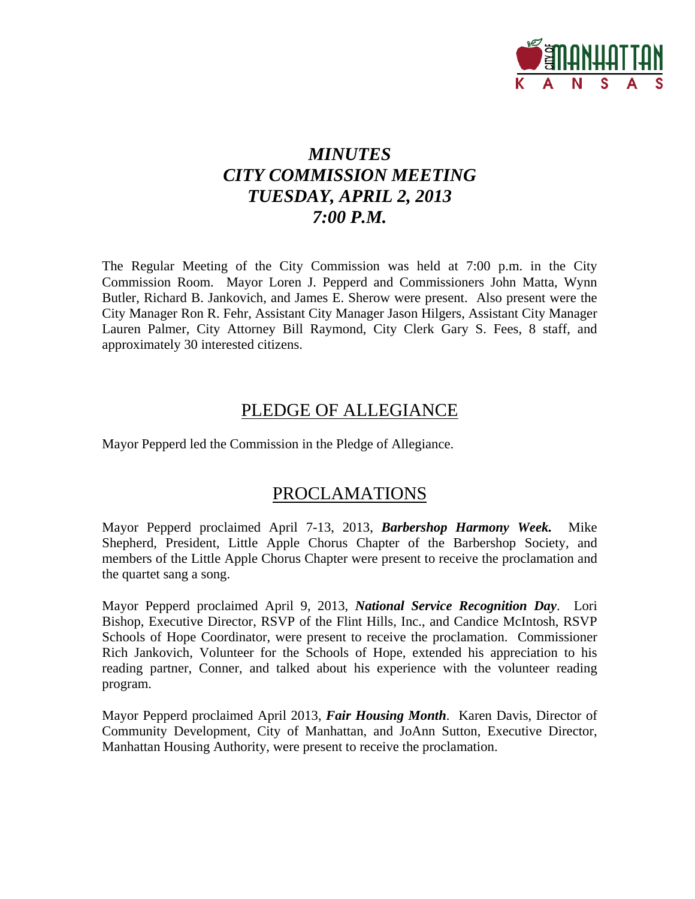

# *MINUTES CITY COMMISSION MEETING TUESDAY, APRIL 2, 2013 7:00 P.M.*

The Regular Meeting of the City Commission was held at 7:00 p.m. in the City Commission Room. Mayor Loren J. Pepperd and Commissioners John Matta, Wynn Butler, Richard B. Jankovich, and James E. Sherow were present. Also present were the City Manager Ron R. Fehr, Assistant City Manager Jason Hilgers, Assistant City Manager Lauren Palmer, City Attorney Bill Raymond, City Clerk Gary S. Fees, 8 staff, and approximately 30 interested citizens.

# PLEDGE OF ALLEGIANCE

Mayor Pepperd led the Commission in the Pledge of Allegiance.

# PROCLAMATIONS

Mayor Pepperd proclaimed April 7-13, 2013, *Barbershop Harmony Week.* Mike Shepherd, President, Little Apple Chorus Chapter of the Barbershop Society, and members of the Little Apple Chorus Chapter were present to receive the proclamation and the quartet sang a song.

Mayor Pepperd proclaimed April 9, 2013, *National Service Recognition Day*. Lori Bishop, Executive Director, RSVP of the Flint Hills, Inc., and Candice McIntosh, RSVP Schools of Hope Coordinator, were present to receive the proclamation. Commissioner Rich Jankovich, Volunteer for the Schools of Hope, extended his appreciation to his reading partner, Conner, and talked about his experience with the volunteer reading program.

Mayor Pepperd proclaimed April 2013, *Fair Housing Month*. Karen Davis, Director of Community Development, City of Manhattan, and JoAnn Sutton, Executive Director, Manhattan Housing Authority, were present to receive the proclamation.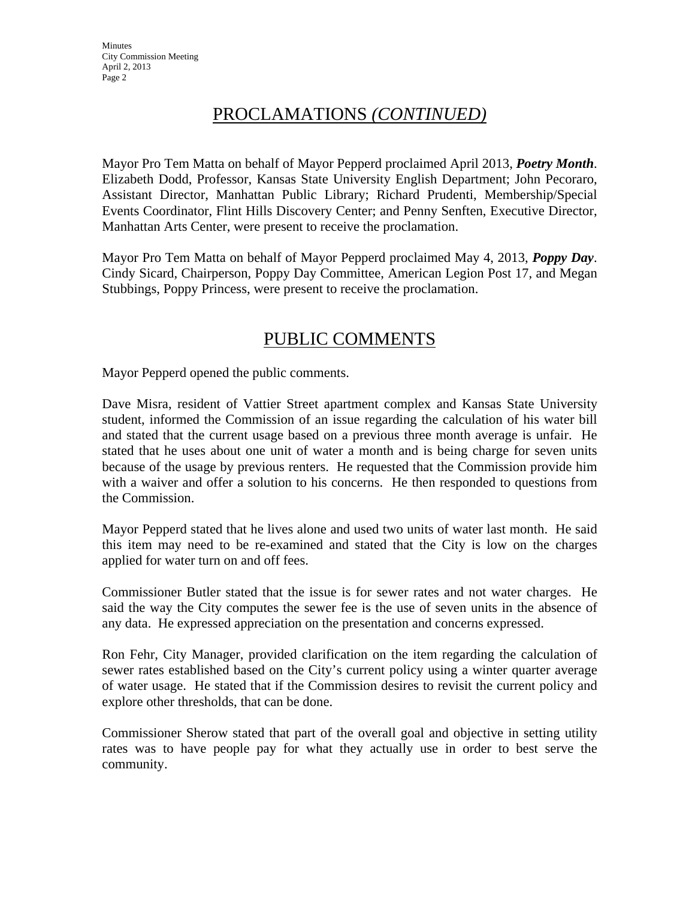# PROCLAMATIONS *(CONTINUED)*

Mayor Pro Tem Matta on behalf of Mayor Pepperd proclaimed April 2013, *Poetry Month*. Elizabeth Dodd, Professor, Kansas State University English Department; John Pecoraro, Assistant Director, Manhattan Public Library; Richard Prudenti, Membership/Special Events Coordinator, Flint Hills Discovery Center; and Penny Senften, Executive Director, Manhattan Arts Center, were present to receive the proclamation.

Mayor Pro Tem Matta on behalf of Mayor Pepperd proclaimed May 4, 2013, *Poppy Day*. Cindy Sicard, Chairperson, Poppy Day Committee, American Legion Post 17, and Megan Stubbings, Poppy Princess, were present to receive the proclamation.

# PUBLIC COMMENTS

Mayor Pepperd opened the public comments.

Dave Misra, resident of Vattier Street apartment complex and Kansas State University student, informed the Commission of an issue regarding the calculation of his water bill and stated that the current usage based on a previous three month average is unfair. He stated that he uses about one unit of water a month and is being charge for seven units because of the usage by previous renters. He requested that the Commission provide him with a waiver and offer a solution to his concerns. He then responded to questions from the Commission.

Mayor Pepperd stated that he lives alone and used two units of water last month. He said this item may need to be re-examined and stated that the City is low on the charges applied for water turn on and off fees.

Commissioner Butler stated that the issue is for sewer rates and not water charges. He said the way the City computes the sewer fee is the use of seven units in the absence of any data. He expressed appreciation on the presentation and concerns expressed.

Ron Fehr, City Manager, provided clarification on the item regarding the calculation of sewer rates established based on the City's current policy using a winter quarter average of water usage. He stated that if the Commission desires to revisit the current policy and explore other thresholds, that can be done.

Commissioner Sherow stated that part of the overall goal and objective in setting utility rates was to have people pay for what they actually use in order to best serve the community.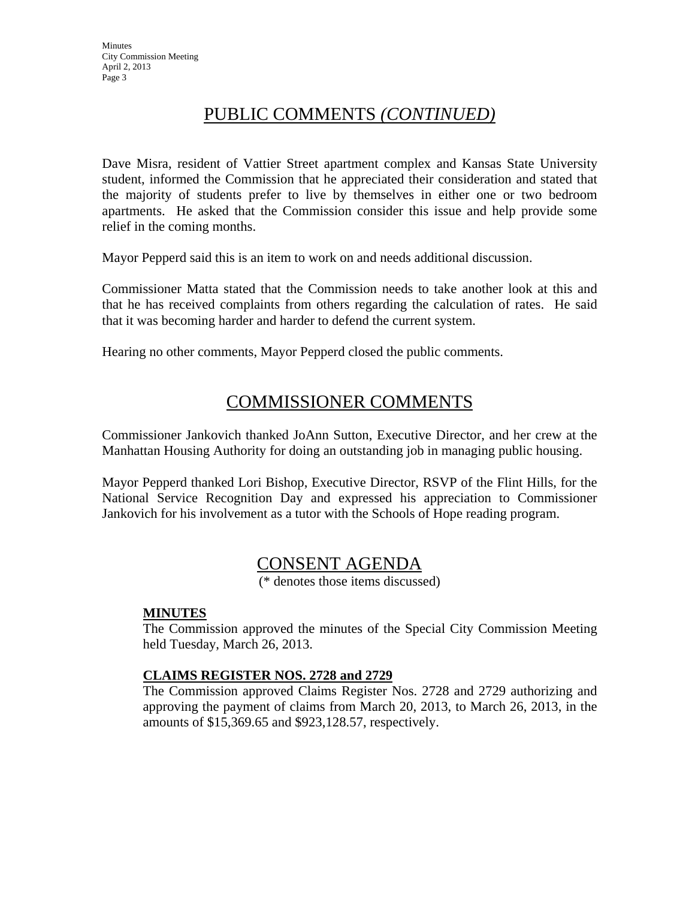# PUBLIC COMMENTS *(CONTINUED)*

Dave Misra, resident of Vattier Street apartment complex and Kansas State University student, informed the Commission that he appreciated their consideration and stated that the majority of students prefer to live by themselves in either one or two bedroom apartments. He asked that the Commission consider this issue and help provide some relief in the coming months.

Mayor Pepperd said this is an item to work on and needs additional discussion.

Commissioner Matta stated that the Commission needs to take another look at this and that he has received complaints from others regarding the calculation of rates. He said that it was becoming harder and harder to defend the current system.

Hearing no other comments, Mayor Pepperd closed the public comments.

# COMMISSIONER COMMENTS

Commissioner Jankovich thanked JoAnn Sutton, Executive Director, and her crew at the Manhattan Housing Authority for doing an outstanding job in managing public housing.

Mayor Pepperd thanked Lori Bishop, Executive Director, RSVP of the Flint Hills, for the National Service Recognition Day and expressed his appreciation to Commissioner Jankovich for his involvement as a tutor with the Schools of Hope reading program.

# CONSENT AGENDA

(\* denotes those items discussed)

# **MINUTES**

The Commission approved the minutes of the Special City Commission Meeting held Tuesday, March 26, 2013.

# **CLAIMS REGISTER NOS. 2728 and 2729**

The Commission approved Claims Register Nos. 2728 and 2729 authorizing and approving the payment of claims from March 20, 2013, to March 26, 2013, in the amounts of \$15,369.65 and \$923,128.57, respectively.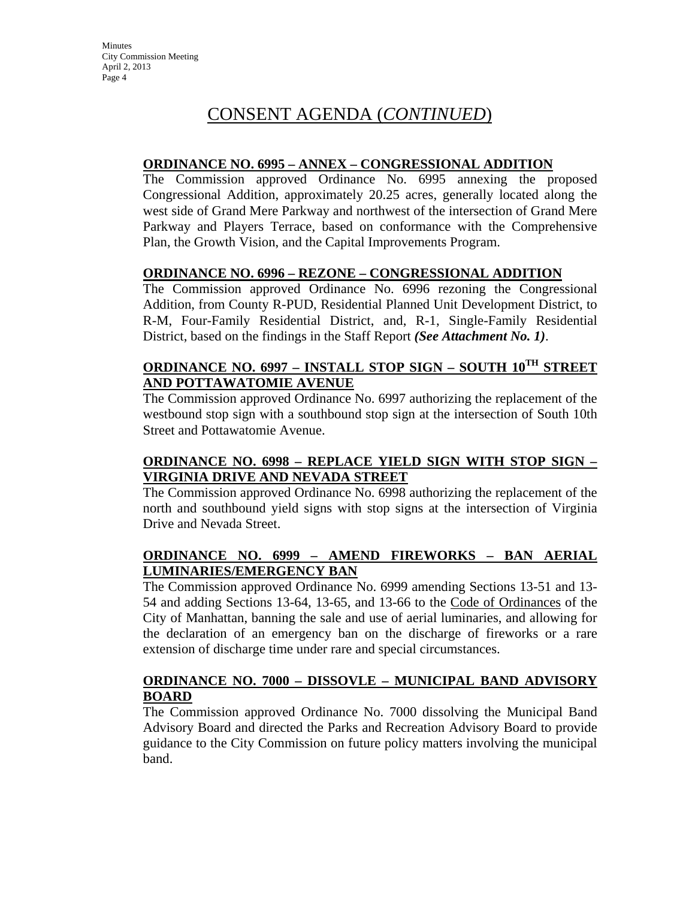# CONSENT AGENDA (*CONTINUED*)

### **ORDINANCE NO. 6995 – ANNEX – CONGRESSIONAL ADDITION**

The Commission approved Ordinance No. 6995 annexing the proposed Congressional Addition, approximately 20.25 acres, generally located along the west side of Grand Mere Parkway and northwest of the intersection of Grand Mere Parkway and Players Terrace, based on conformance with the Comprehensive Plan, the Growth Vision, and the Capital Improvements Program.

### **ORDINANCE NO. 6996 – REZONE – CONGRESSIONAL ADDITION**

The Commission approved Ordinance No. 6996 rezoning the Congressional Addition, from County R-PUD, Residential Planned Unit Development District, to R-M, Four-Family Residential District, and, R-1, Single-Family Residential District, based on the findings in the Staff Report *(See Attachment No. 1)*.

# **ORDINANCE NO. 6997 – INSTALL STOP SIGN – SOUTH 10TH STREET AND POTTAWATOMIE AVENUE**

The Commission approved Ordinance No. 6997 authorizing the replacement of the westbound stop sign with a southbound stop sign at the intersection of South 10th Street and Pottawatomie Avenue.

# **ORDINANCE NO. 6998 – REPLACE YIELD SIGN WITH STOP SIGN – VIRGINIA DRIVE AND NEVADA STREET**

The Commission approved Ordinance No. 6998 authorizing the replacement of the north and southbound yield signs with stop signs at the intersection of Virginia Drive and Nevada Street.

# **ORDINANCE NO. 6999 – AMEND FIREWORKS – BAN AERIAL LUMINARIES/EMERGENCY BAN**

The Commission approved Ordinance No. 6999 amending Sections 13-51 and 13- 54 and adding Sections 13-64, 13-65, and 13-66 to the Code of Ordinances of the City of Manhattan, banning the sale and use of aerial luminaries, and allowing for the declaration of an emergency ban on the discharge of fireworks or a rare extension of discharge time under rare and special circumstances.

# **ORDINANCE NO. 7000 – DISSOVLE – MUNICIPAL BAND ADVISORY BOARD**

The Commission approved Ordinance No. 7000 dissolving the Municipal Band Advisory Board and directed the Parks and Recreation Advisory Board to provide guidance to the City Commission on future policy matters involving the municipal band.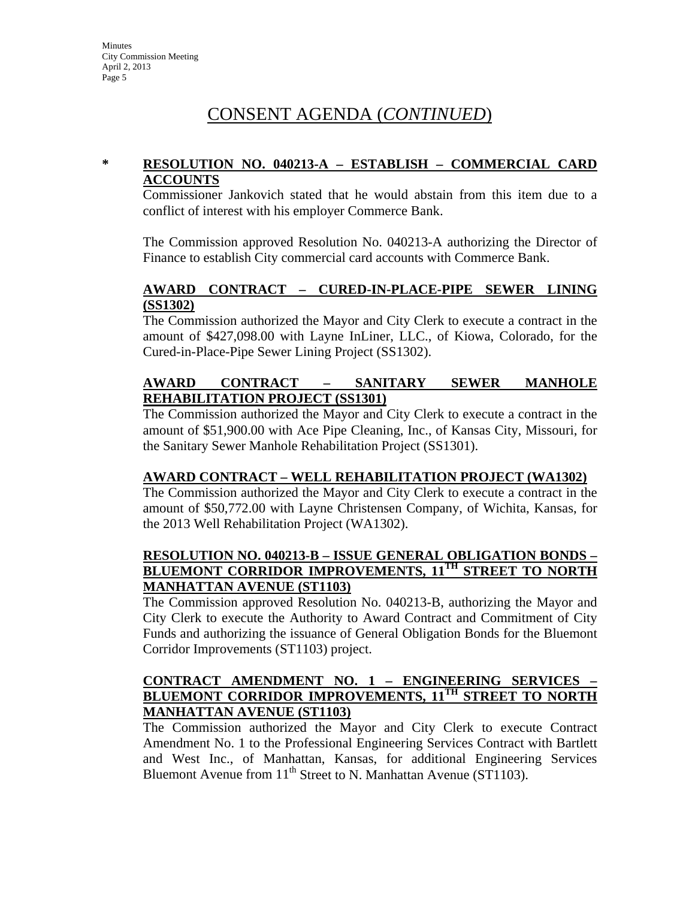# CONSENT AGENDA (*CONTINUED*)

### **\* RESOLUTION NO. 040213-A – ESTABLISH – COMMERCIAL CARD ACCOUNTS**

Commissioner Jankovich stated that he would abstain from this item due to a conflict of interest with his employer Commerce Bank.

The Commission approved Resolution No. 040213-A authorizing the Director of Finance to establish City commercial card accounts with Commerce Bank.

### **AWARD CONTRACT – CURED-IN-PLACE-PIPE SEWER LINING (SS1302)**

The Commission authorized the Mayor and City Clerk to execute a contract in the amount of \$427,098.00 with Layne InLiner, LLC., of Kiowa, Colorado, for the Cured-in-Place-Pipe Sewer Lining Project (SS1302).

# **AWARD CONTRACT – SANITARY SEWER MANHOLE REHABILITATION PROJECT (SS1301)**

The Commission authorized the Mayor and City Clerk to execute a contract in the amount of \$51,900.00 with Ace Pipe Cleaning, Inc., of Kansas City, Missouri, for the Sanitary Sewer Manhole Rehabilitation Project (SS1301).

# **AWARD CONTRACT – WELL REHABILITATION PROJECT (WA1302)**

The Commission authorized the Mayor and City Clerk to execute a contract in the amount of \$50,772.00 with Layne Christensen Company, of Wichita, Kansas, for the 2013 Well Rehabilitation Project (WA1302).

# **RESOLUTION NO. 040213-B – ISSUE GENERAL OBLIGATION BONDS – BLUEMONT CORRIDOR IMPROVEMENTS, 11TH STREET TO NORTH MANHATTAN AVENUE (ST1103)**

The Commission approved Resolution No. 040213-B, authorizing the Mayor and City Clerk to execute the Authority to Award Contract and Commitment of City Funds and authorizing the issuance of General Obligation Bonds for the Bluemont Corridor Improvements (ST1103) project.

# **CONTRACT AMENDMENT NO. 1 – ENGINEERING SERVICES – BLUEMONT CORRIDOR IMPROVEMENTS, 11TH STREET TO NORTH MANHATTAN AVENUE (ST1103)**

The Commission authorized the Mayor and City Clerk to execute Contract Amendment No. 1 to the Professional Engineering Services Contract with Bartlett and West Inc., of Manhattan, Kansas, for additional Engineering Services Bluemont Avenue from  $11<sup>th</sup>$  Street to N. Manhattan Avenue (ST1103).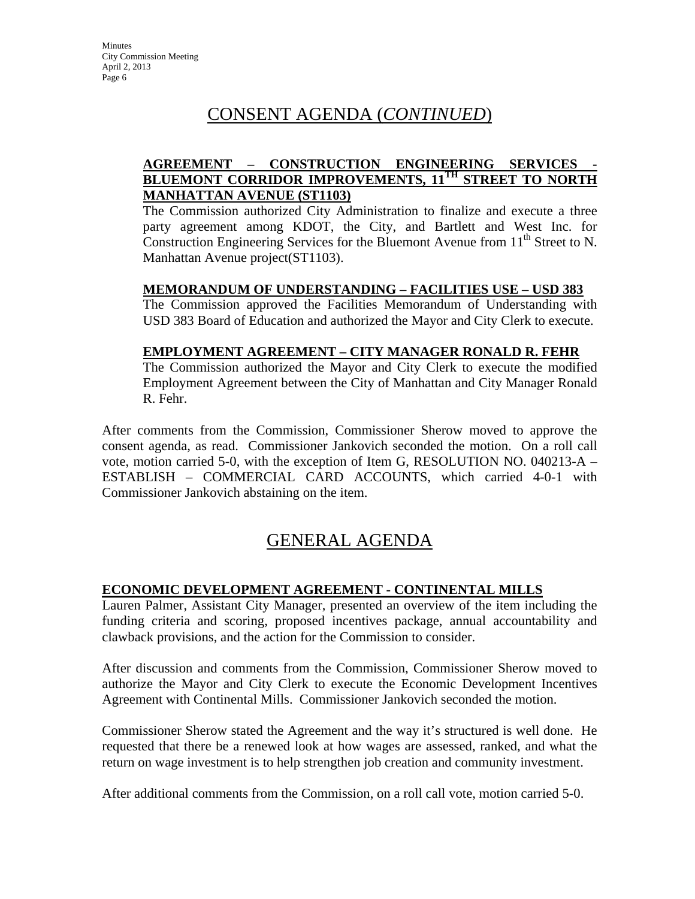# CONSENT AGENDA (*CONTINUED*)

# **AGREEMENT – CONSTRUCTION ENGINEERING SERVICES - BLUEMONT CORRIDOR IMPROVEMENTS, 11TH STREET TO NORTH MANHATTAN AVENUE (ST1103)**

The Commission authorized City Administration to finalize and execute a three party agreement among KDOT, the City, and Bartlett and West Inc. for Construction Engineering Services for the Bluemont Avenue from  $11<sup>th</sup>$  Street to N. Manhattan Avenue project(ST1103).

# **MEMORANDUM OF UNDERSTANDING – FACILITIES USE – USD 383**

The Commission approved the Facilities Memorandum of Understanding with USD 383 Board of Education and authorized the Mayor and City Clerk to execute.

# **EMPLOYMENT AGREEMENT – CITY MANAGER RONALD R. FEHR**

The Commission authorized the Mayor and City Clerk to execute the modified Employment Agreement between the City of Manhattan and City Manager Ronald R. Fehr.

After comments from the Commission, Commissioner Sherow moved to approve the consent agenda, as read. Commissioner Jankovich seconded the motion. On a roll call vote, motion carried 5-0, with the exception of Item G, RESOLUTION NO. 040213-A – ESTABLISH – COMMERCIAL CARD ACCOUNTS, which carried 4-0-1 with Commissioner Jankovich abstaining on the item.

# GENERAL AGENDA

# **ECONOMIC DEVELOPMENT AGREEMENT - CONTINENTAL MILLS**

Lauren Palmer, Assistant City Manager, presented an overview of the item including the funding criteria and scoring, proposed incentives package, annual accountability and clawback provisions, and the action for the Commission to consider.

After discussion and comments from the Commission, Commissioner Sherow moved to authorize the Mayor and City Clerk to execute the Economic Development Incentives Agreement with Continental Mills. Commissioner Jankovich seconded the motion.

Commissioner Sherow stated the Agreement and the way it's structured is well done. He requested that there be a renewed look at how wages are assessed, ranked, and what the return on wage investment is to help strengthen job creation and community investment.

After additional comments from the Commission, on a roll call vote, motion carried 5-0.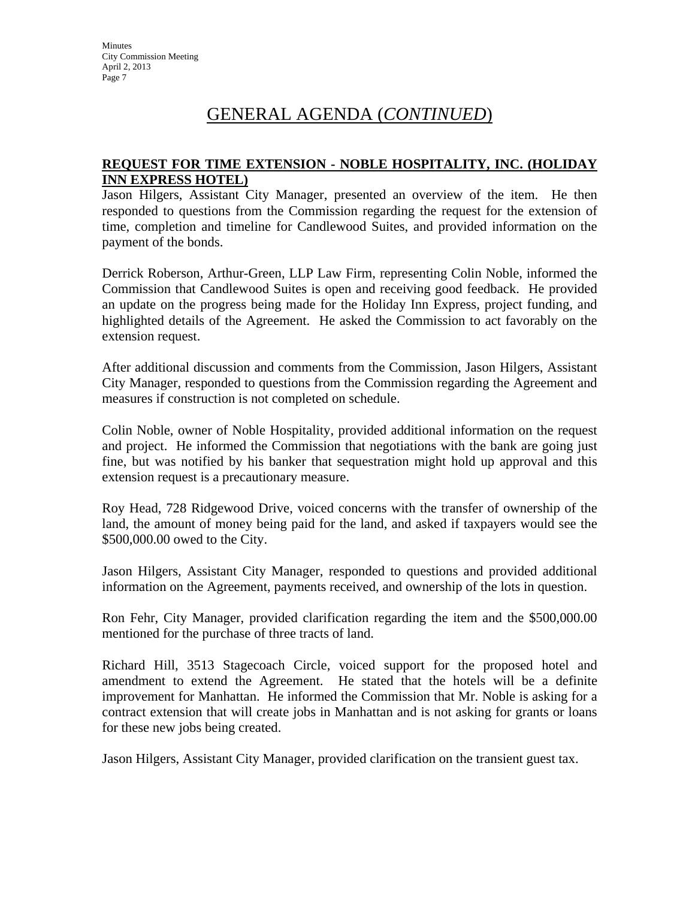# GENERAL AGENDA (*CONTINUED*)

### **REQUEST FOR TIME EXTENSION - NOBLE HOSPITALITY, INC. (HOLIDAY INN EXPRESS HOTEL)**

Jason Hilgers, Assistant City Manager, presented an overview of the item. He then responded to questions from the Commission regarding the request for the extension of time, completion and timeline for Candlewood Suites, and provided information on the payment of the bonds.

Derrick Roberson, Arthur-Green, LLP Law Firm, representing Colin Noble, informed the Commission that Candlewood Suites is open and receiving good feedback. He provided an update on the progress being made for the Holiday Inn Express, project funding, and highlighted details of the Agreement. He asked the Commission to act favorably on the extension request.

After additional discussion and comments from the Commission, Jason Hilgers, Assistant City Manager, responded to questions from the Commission regarding the Agreement and measures if construction is not completed on schedule.

Colin Noble, owner of Noble Hospitality, provided additional information on the request and project. He informed the Commission that negotiations with the bank are going just fine, but was notified by his banker that sequestration might hold up approval and this extension request is a precautionary measure.

Roy Head, 728 Ridgewood Drive, voiced concerns with the transfer of ownership of the land, the amount of money being paid for the land, and asked if taxpayers would see the \$500,000.00 owed to the City.

Jason Hilgers, Assistant City Manager, responded to questions and provided additional information on the Agreement, payments received, and ownership of the lots in question.

Ron Fehr, City Manager, provided clarification regarding the item and the \$500,000.00 mentioned for the purchase of three tracts of land.

Richard Hill, 3513 Stagecoach Circle, voiced support for the proposed hotel and amendment to extend the Agreement. He stated that the hotels will be a definite improvement for Manhattan. He informed the Commission that Mr. Noble is asking for a contract extension that will create jobs in Manhattan and is not asking for grants or loans for these new jobs being created.

Jason Hilgers, Assistant City Manager, provided clarification on the transient guest tax.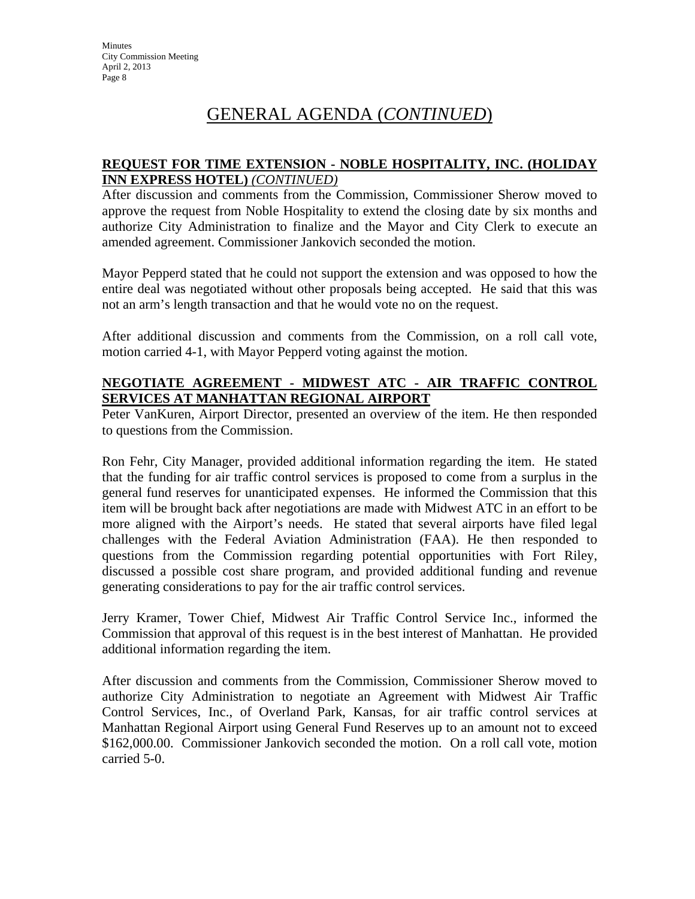# GENERAL AGENDA (*CONTINUED*)

### **REQUEST FOR TIME EXTENSION - NOBLE HOSPITALITY, INC. (HOLIDAY INN EXPRESS HOTEL)** *(CONTINUED)*

After discussion and comments from the Commission, Commissioner Sherow moved to approve the request from Noble Hospitality to extend the closing date by six months and authorize City Administration to finalize and the Mayor and City Clerk to execute an amended agreement. Commissioner Jankovich seconded the motion.

Mayor Pepperd stated that he could not support the extension and was opposed to how the entire deal was negotiated without other proposals being accepted. He said that this was not an arm's length transaction and that he would vote no on the request.

After additional discussion and comments from the Commission, on a roll call vote, motion carried 4-1, with Mayor Pepperd voting against the motion.

# **NEGOTIATE AGREEMENT - MIDWEST ATC - AIR TRAFFIC CONTROL SERVICES AT MANHATTAN REGIONAL AIRPORT**

Peter VanKuren, Airport Director, presented an overview of the item. He then responded to questions from the Commission.

Ron Fehr, City Manager, provided additional information regarding the item. He stated that the funding for air traffic control services is proposed to come from a surplus in the general fund reserves for unanticipated expenses. He informed the Commission that this item will be brought back after negotiations are made with Midwest ATC in an effort to be more aligned with the Airport's needs. He stated that several airports have filed legal challenges with the Federal Aviation Administration (FAA). He then responded to questions from the Commission regarding potential opportunities with Fort Riley, discussed a possible cost share program, and provided additional funding and revenue generating considerations to pay for the air traffic control services.

Jerry Kramer, Tower Chief, Midwest Air Traffic Control Service Inc., informed the Commission that approval of this request is in the best interest of Manhattan. He provided additional information regarding the item.

After discussion and comments from the Commission, Commissioner Sherow moved to authorize City Administration to negotiate an Agreement with Midwest Air Traffic Control Services, Inc., of Overland Park, Kansas, for air traffic control services at Manhattan Regional Airport using General Fund Reserves up to an amount not to exceed \$162,000.00. Commissioner Jankovich seconded the motion. On a roll call vote, motion carried 5-0.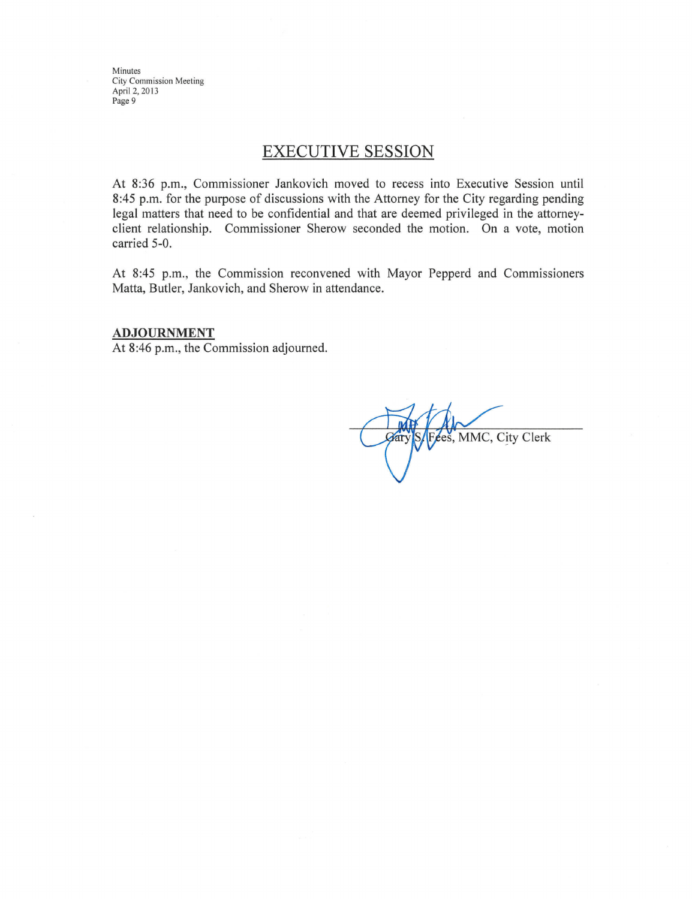Minutes **City Commission Meeting** April 2, 2013 Page 9

# **EXECUTIVE SESSION**

At 8:36 p.m., Commissioner Jankovich moved to recess into Executive Session until 8:45 p.m. for the purpose of discussions with the Attorney for the City regarding pending legal matters that need to be confidential and that are deemed privileged in the attorneyclient relationship. Commissioner Sherow seconded the motion. On a vote, motion carried 5-0.

At 8:45 p.m., the Commission reconvened with Mayor Pepperd and Commissioners Matta, Butler, Jankovich, and Sherow in attendance.

#### **ADJOURNMENT**

At 8:46 p.m., the Commission adjourned.

Fees, MMC, City Clerk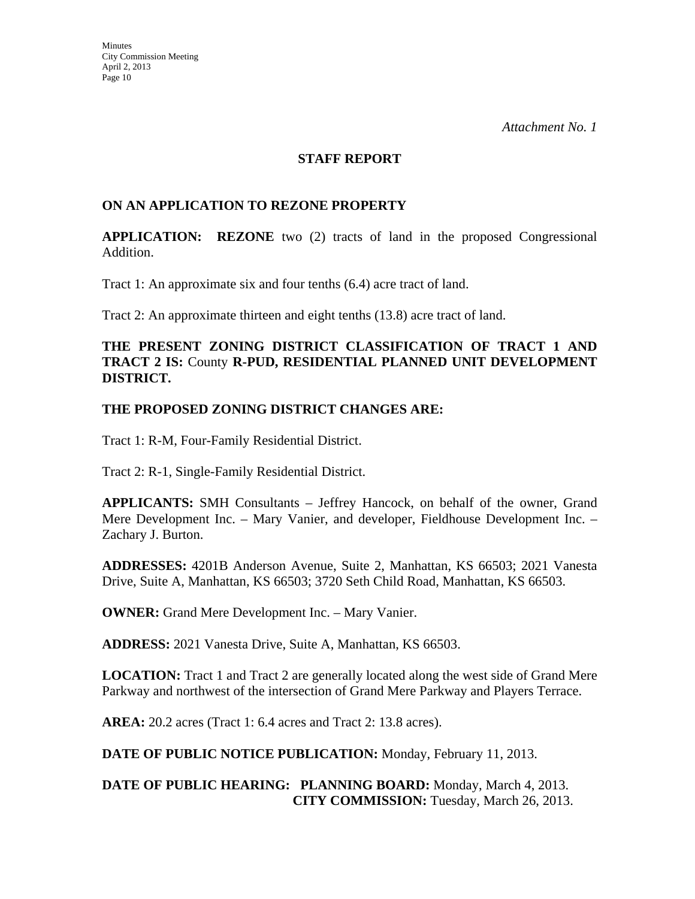#### **STAFF REPORT**

# **ON AN APPLICATION TO REZONE PROPERTY**

**APPLICATION: REZONE** two (2) tracts of land in the proposed Congressional Addition.

Tract 1: An approximate six and four tenths (6.4) acre tract of land.

Tract 2: An approximate thirteen and eight tenths (13.8) acre tract of land.

### **THE PRESENT ZONING DISTRICT CLASSIFICATION OF TRACT 1 AND TRACT 2 IS:** County **R-PUD, RESIDENTIAL PLANNED UNIT DEVELOPMENT DISTRICT.**

### **THE PROPOSED ZONING DISTRICT CHANGES ARE:**

Tract 1: R-M, Four-Family Residential District.

Tract 2: R-1, Single-Family Residential District.

**APPLICANTS:** SMH Consultants – Jeffrey Hancock, on behalf of the owner, Grand Mere Development Inc. – Mary Vanier, and developer, Fieldhouse Development Inc. – Zachary J. Burton.

**ADDRESSES:** 4201B Anderson Avenue, Suite 2, Manhattan, KS 66503; 2021 Vanesta Drive, Suite A, Manhattan, KS 66503; 3720 Seth Child Road, Manhattan, KS 66503.

**OWNER:** Grand Mere Development Inc. – Mary Vanier.

**ADDRESS:** 2021 Vanesta Drive, Suite A, Manhattan, KS 66503.

**LOCATION:** Tract 1 and Tract 2 are generally located along the west side of Grand Mere Parkway and northwest of the intersection of Grand Mere Parkway and Players Terrace.

**AREA:** 20.2 acres (Tract 1: 6.4 acres and Tract 2: 13.8 acres).

**DATE OF PUBLIC NOTICE PUBLICATION:** Monday, February 11, 2013.

**DATE OF PUBLIC HEARING: PLANNING BOARD:** Monday, March 4, 2013. **CITY COMMISSION:** Tuesday, March 26, 2013.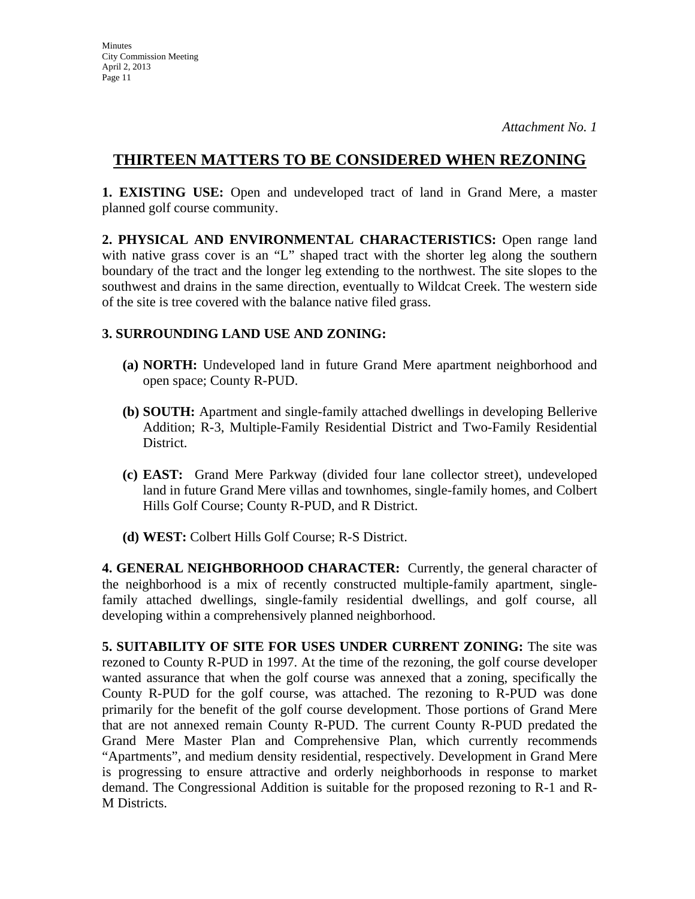# **THIRTEEN MATTERS TO BE CONSIDERED WHEN REZONING**

**1. EXISTING USE:** Open and undeveloped tract of land in Grand Mere, a master planned golf course community.

**2. PHYSICAL AND ENVIRONMENTAL CHARACTERISTICS:** Open range land with native grass cover is an "L" shaped tract with the shorter leg along the southern boundary of the tract and the longer leg extending to the northwest. The site slopes to the southwest and drains in the same direction, eventually to Wildcat Creek. The western side of the site is tree covered with the balance native filed grass.

# **3. SURROUNDING LAND USE AND ZONING:**

- **(a) NORTH:** Undeveloped land in future Grand Mere apartment neighborhood and open space; County R-PUD.
- **(b) SOUTH:** Apartment and single-family attached dwellings in developing Bellerive Addition; R-3, Multiple-Family Residential District and Two-Family Residential District.
- **(c) EAST:** Grand Mere Parkway (divided four lane collector street), undeveloped land in future Grand Mere villas and townhomes, single-family homes, and Colbert Hills Golf Course; County R-PUD, and R District.
- **(d) WEST:** Colbert Hills Golf Course; R-S District.

**4. GENERAL NEIGHBORHOOD CHARACTER:** Currently, the general character of the neighborhood is a mix of recently constructed multiple-family apartment, singlefamily attached dwellings, single-family residential dwellings, and golf course, all developing within a comprehensively planned neighborhood.

**5. SUITABILITY OF SITE FOR USES UNDER CURRENT ZONING:** The site was rezoned to County R-PUD in 1997. At the time of the rezoning, the golf course developer wanted assurance that when the golf course was annexed that a zoning, specifically the County R-PUD for the golf course, was attached. The rezoning to R-PUD was done primarily for the benefit of the golf course development. Those portions of Grand Mere that are not annexed remain County R-PUD. The current County R-PUD predated the Grand Mere Master Plan and Comprehensive Plan, which currently recommends "Apartments", and medium density residential, respectively. Development in Grand Mere is progressing to ensure attractive and orderly neighborhoods in response to market demand. The Congressional Addition is suitable for the proposed rezoning to R-1 and R-M Districts.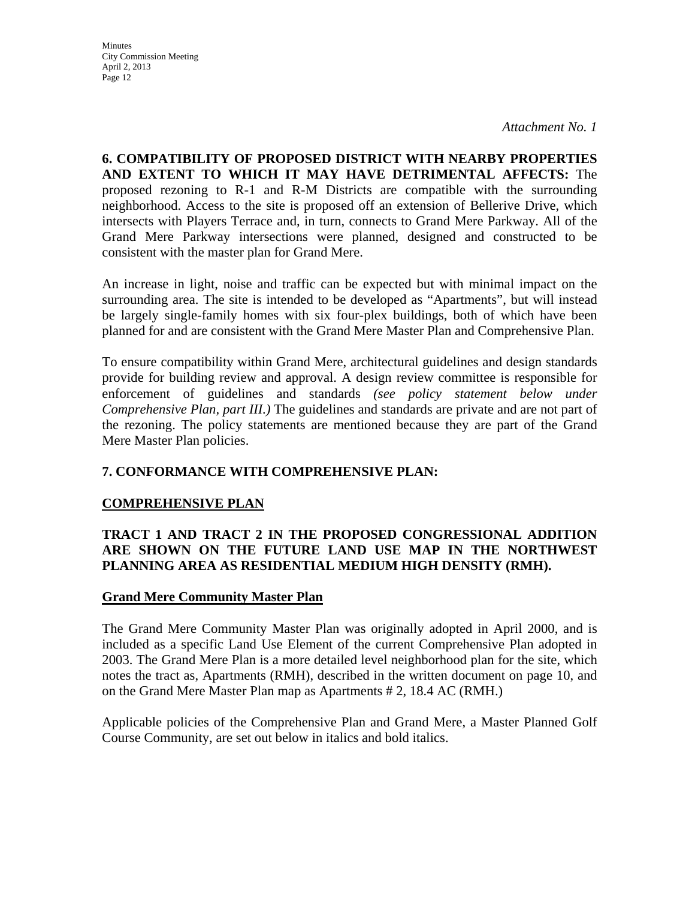**Minutes** City Commission Meeting April 2, 2013 Page 12

*Attachment No. 1*

**6. COMPATIBILITY OF PROPOSED DISTRICT WITH NEARBY PROPERTIES AND EXTENT TO WHICH IT MAY HAVE DETRIMENTAL AFFECTS:** The proposed rezoning to R-1 and R-M Districts are compatible with the surrounding neighborhood. Access to the site is proposed off an extension of Bellerive Drive, which intersects with Players Terrace and, in turn, connects to Grand Mere Parkway. All of the Grand Mere Parkway intersections were planned, designed and constructed to be consistent with the master plan for Grand Mere.

An increase in light, noise and traffic can be expected but with minimal impact on the surrounding area. The site is intended to be developed as "Apartments", but will instead be largely single-family homes with six four-plex buildings, both of which have been planned for and are consistent with the Grand Mere Master Plan and Comprehensive Plan.

To ensure compatibility within Grand Mere, architectural guidelines and design standards provide for building review and approval. A design review committee is responsible for enforcement of guidelines and standards *(see policy statement below under Comprehensive Plan, part III.)* The guidelines and standards are private and are not part of the rezoning. The policy statements are mentioned because they are part of the Grand Mere Master Plan policies.

# **7. CONFORMANCE WITH COMPREHENSIVE PLAN:**

### **COMPREHENSIVE PLAN**

# **TRACT 1 AND TRACT 2 IN THE PROPOSED CONGRESSIONAL ADDITION ARE SHOWN ON THE FUTURE LAND USE MAP IN THE NORTHWEST PLANNING AREA AS RESIDENTIAL MEDIUM HIGH DENSITY (RMH).**

### **Grand Mere Community Master Plan**

The Grand Mere Community Master Plan was originally adopted in April 2000, and is included as a specific Land Use Element of the current Comprehensive Plan adopted in 2003. The Grand Mere Plan is a more detailed level neighborhood plan for the site, which notes the tract as, Apartments (RMH), described in the written document on page 10, and on the Grand Mere Master Plan map as Apartments # 2, 18.4 AC (RMH.)

Applicable policies of the Comprehensive Plan and Grand Mere, a Master Planned Golf Course Community, are set out below in italics and bold italics.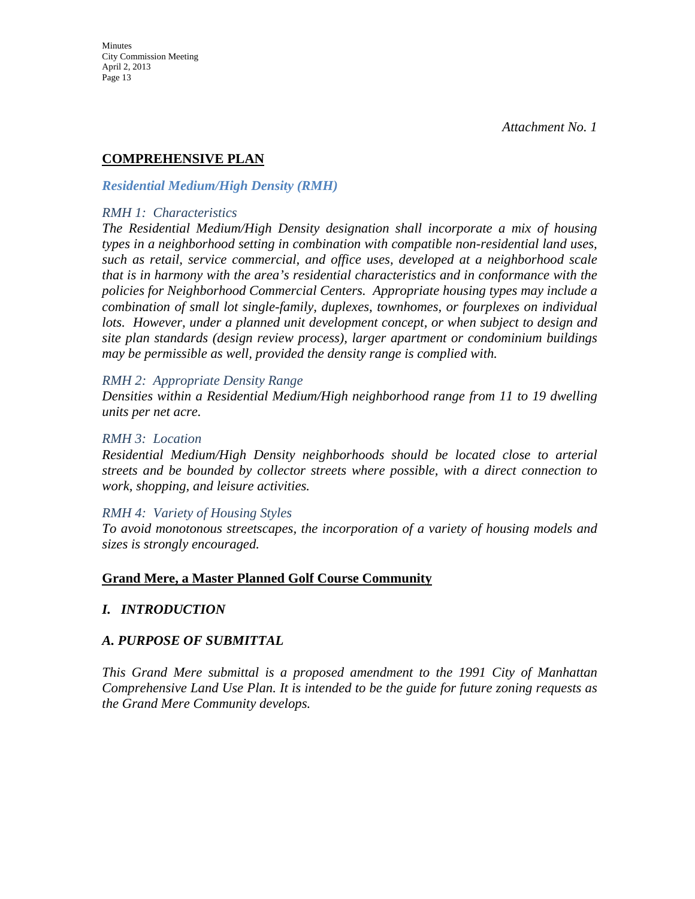# **COMPREHENSIVE PLAN**

### *Residential Medium/High Density (RMH)*

#### *RMH 1: Characteristics*

*The Residential Medium/High Density designation shall incorporate a mix of housing types in a neighborhood setting in combination with compatible non-residential land uses, such as retail, service commercial, and office uses, developed at a neighborhood scale that is in harmony with the area's residential characteristics and in conformance with the policies for Neighborhood Commercial Centers. Appropriate housing types may include a combination of small lot single-family, duplexes, townhomes, or fourplexes on individual lots. However, under a planned unit development concept, or when subject to design and site plan standards (design review process), larger apartment or condominium buildings may be permissible as well, provided the density range is complied with.* 

### *RMH 2: Appropriate Density Range*

*Densities within a Residential Medium/High neighborhood range from 11 to 19 dwelling units per net acre.* 

#### *RMH 3: Location*

*Residential Medium/High Density neighborhoods should be located close to arterial streets and be bounded by collector streets where possible, with a direct connection to work, shopping, and leisure activities.* 

### *RMH 4: Variety of Housing Styles*

*To avoid monotonous streetscapes, the incorporation of a variety of housing models and sizes is strongly encouraged.* 

### **Grand Mere, a Master Planned Golf Course Community**

# *I. INTRODUCTION*

# *A. PURPOSE OF SUBMITTAL*

*This Grand Mere submittal is a proposed amendment to the 1991 City of Manhattan Comprehensive Land Use Plan. It is intended to be the guide for future zoning requests as the Grand Mere Community develops.*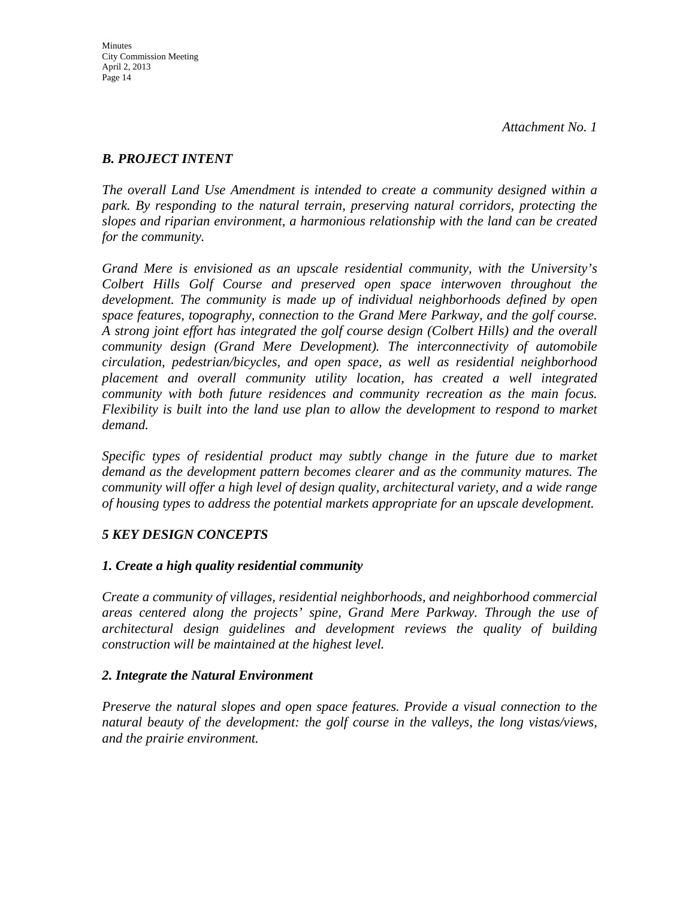# *B. PROJECT INTENT*

*The overall Land Use Amendment is intended to create a community designed within a park. By responding to the natural terrain, preserving natural corridors, protecting the slopes and riparian environment, a harmonious relationship with the land can be created for the community.* 

*Grand Mere is envisioned as an upscale residential community, with the University's Colbert Hills Golf Course and preserved open space interwoven throughout the development. The community is made up of individual neighborhoods defined by open space features, topography, connection to the Grand Mere Parkway, and the golf course. A strong joint effort has integrated the golf course design (Colbert Hills) and the overall community design (Grand Mere Development). The interconnectivity of automobile circulation, pedestrian/bicycles, and open space, as well as residential neighborhood placement and overall community utility location, has created a well integrated community with both future residences and community recreation as the main focus. Flexibility is built into the land use plan to allow the development to respond to market demand.* 

Specific types of residential product may subtly change in the future due to market *demand as the development pattern becomes clearer and as the community matures. The community will offer a high level of design quality, architectural variety, and a wide range of housing types to address the potential markets appropriate for an upscale development.* 

# *5 KEY DESIGN CONCEPTS*

# *1. Create a high quality residential community*

*Create a community of villages, residential neighborhoods, and neighborhood commercial areas centered along the projects' spine, Grand Mere Parkway. Through the use of architectural design guidelines and development reviews the quality of building construction will be maintained at the highest level.* 

# *2. Integrate the Natural Environment*

*Preserve the natural slopes and open space features. Provide a visual connection to the natural beauty of the development: the golf course in the valleys, the long vistas/views, and the prairie environment.*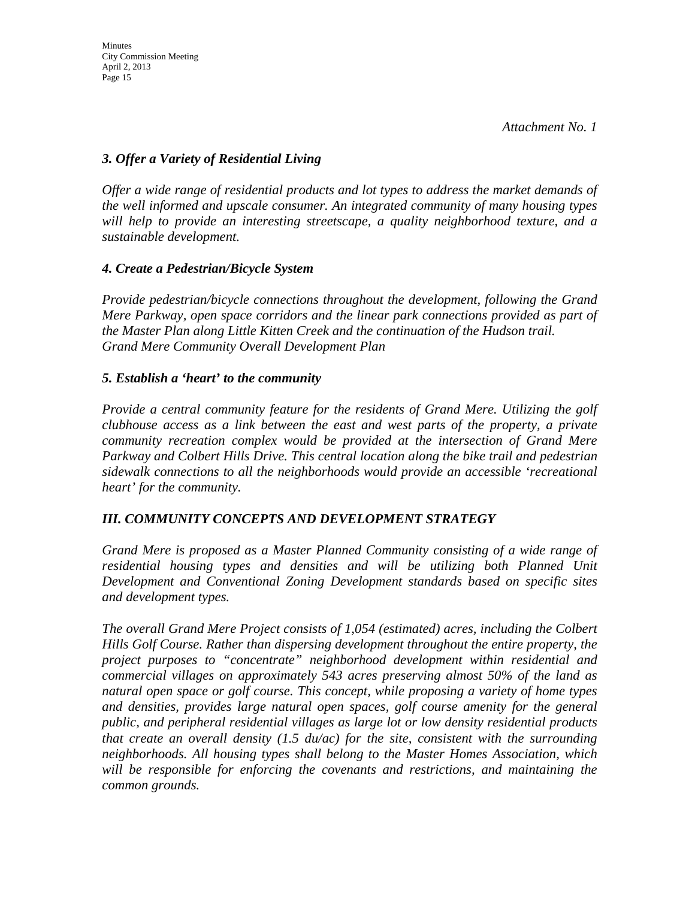# *3. Offer a Variety of Residential Living*

*Offer a wide range of residential products and lot types to address the market demands of the well informed and upscale consumer. An integrated community of many housing types will help to provide an interesting streetscape, a quality neighborhood texture, and a sustainable development.* 

# *4. Create a Pedestrian/Bicycle System*

*Provide pedestrian/bicycle connections throughout the development, following the Grand Mere Parkway, open space corridors and the linear park connections provided as part of the Master Plan along Little Kitten Creek and the continuation of the Hudson trail. Grand Mere Community Overall Development Plan* 

# *5. Establish a 'heart' to the community*

*Provide a central community feature for the residents of Grand Mere. Utilizing the golf clubhouse access as a link between the east and west parts of the property, a private community recreation complex would be provided at the intersection of Grand Mere Parkway and Colbert Hills Drive. This central location along the bike trail and pedestrian sidewalk connections to all the neighborhoods would provide an accessible 'recreational heart' for the community.* 

# *III. COMMUNITY CONCEPTS AND DEVELOPMENT STRATEGY*

*Grand Mere is proposed as a Master Planned Community consisting of a wide range of residential housing types and densities and will be utilizing both Planned Unit Development and Conventional Zoning Development standards based on specific sites and development types.* 

*The overall Grand Mere Project consists of 1,054 (estimated) acres, including the Colbert Hills Golf Course. Rather than dispersing development throughout the entire property, the project purposes to "concentrate" neighborhood development within residential and commercial villages on approximately 543 acres preserving almost 50% of the land as natural open space or golf course. This concept, while proposing a variety of home types and densities, provides large natural open spaces, golf course amenity for the general public, and peripheral residential villages as large lot or low density residential products that create an overall density (1.5 du/ac) for the site, consistent with the surrounding neighborhoods. All housing types shall belong to the Master Homes Association, which will be responsible for enforcing the covenants and restrictions, and maintaining the common grounds.*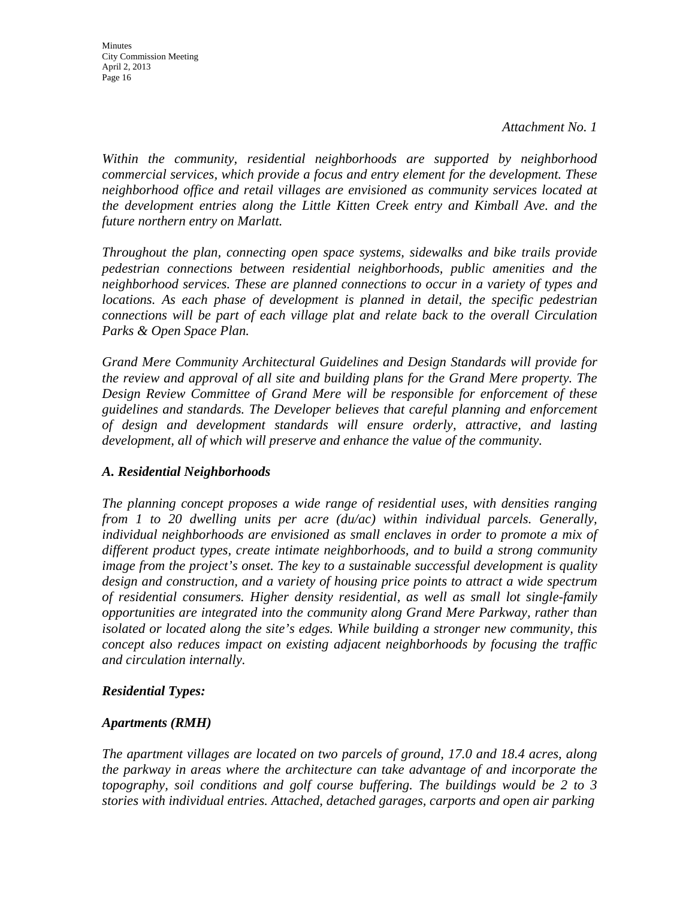**Minutes** City Commission Meeting April 2, 2013 Page 16

*Within the community, residential neighborhoods are supported by neighborhood commercial services, which provide a focus and entry element for the development. These neighborhood office and retail villages are envisioned as community services located at the development entries along the Little Kitten Creek entry and Kimball Ave. and the future northern entry on Marlatt.* 

*Throughout the plan, connecting open space systems, sidewalks and bike trails provide pedestrian connections between residential neighborhoods, public amenities and the neighborhood services. These are planned connections to occur in a variety of types and locations. As each phase of development is planned in detail, the specific pedestrian connections will be part of each village plat and relate back to the overall Circulation Parks & Open Space Plan.* 

*Grand Mere Community Architectural Guidelines and Design Standards will provide for the review and approval of all site and building plans for the Grand Mere property. The Design Review Committee of Grand Mere will be responsible for enforcement of these guidelines and standards. The Developer believes that careful planning and enforcement of design and development standards will ensure orderly, attractive, and lasting development, all of which will preserve and enhance the value of the community.* 

# *A. Residential Neighborhoods*

*The planning concept proposes a wide range of residential uses, with densities ranging from 1 to 20 dwelling units per acre (du/ac) within individual parcels. Generally, individual neighborhoods are envisioned as small enclaves in order to promote a mix of different product types, create intimate neighborhoods, and to build a strong community image from the project's onset. The key to a sustainable successful development is quality design and construction, and a variety of housing price points to attract a wide spectrum of residential consumers. Higher density residential, as well as small lot single-family opportunities are integrated into the community along Grand Mere Parkway, rather than isolated or located along the site's edges. While building a stronger new community, this concept also reduces impact on existing adjacent neighborhoods by focusing the traffic and circulation internally.* 

### *Residential Types:*

### *Apartments (RMH)*

*The apartment villages are located on two parcels of ground, 17.0 and 18.4 acres, along the parkway in areas where the architecture can take advantage of and incorporate the topography, soil conditions and golf course buffering. The buildings would be 2 to 3 stories with individual entries. Attached, detached garages, carports and open air parking*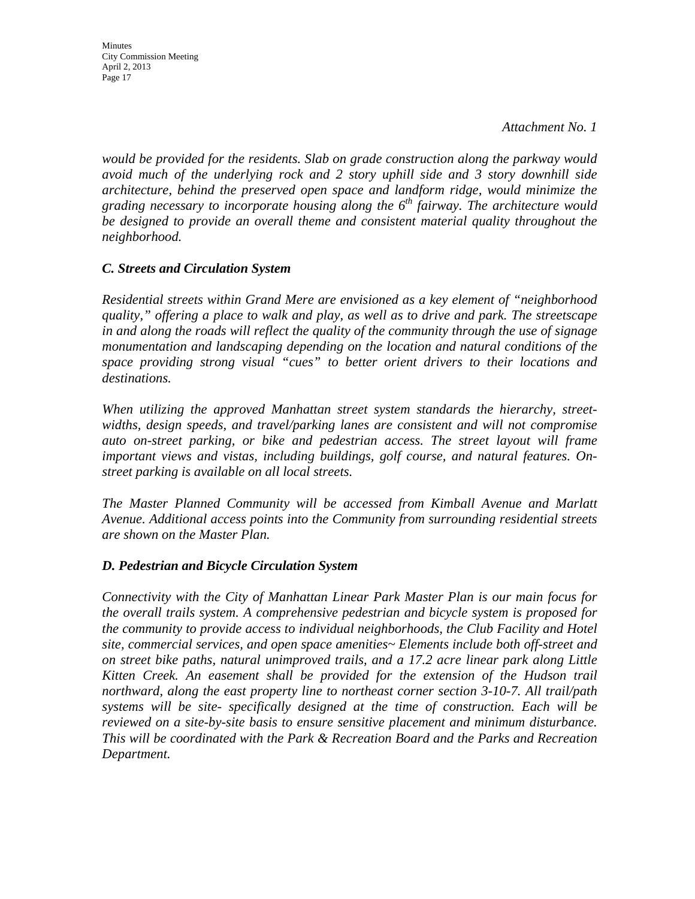Minutes City Commission Meeting April 2, 2013 Page 17

*would be provided for the residents. Slab on grade construction along the parkway would avoid much of the underlying rock and 2 story uphill side and 3 story downhill side architecture, behind the preserved open space and landform ridge, would minimize the grading necessary to incorporate housing along the 6th fairway. The architecture would be designed to provide an overall theme and consistent material quality throughout the neighborhood.* 

### *C. Streets and Circulation System*

*Residential streets within Grand Mere are envisioned as a key element of "neighborhood quality," offering a place to walk and play, as well as to drive and park. The streetscape in and along the roads will reflect the quality of the community through the use of signage monumentation and landscaping depending on the location and natural conditions of the space providing strong visual "cues" to better orient drivers to their locations and destinations.* 

*When utilizing the approved Manhattan street system standards the hierarchy, streetwidths, design speeds, and travel/parking lanes are consistent and will not compromise auto on-street parking, or bike and pedestrian access. The street layout will frame important views and vistas, including buildings, golf course, and natural features. Onstreet parking is available on all local streets.* 

*The Master Planned Community will be accessed from Kimball Avenue and Marlatt Avenue. Additional access points into the Community from surrounding residential streets are shown on the Master Plan.* 

### *D. Pedestrian and Bicycle Circulation System*

*Connectivity with the City of Manhattan Linear Park Master Plan is our main focus for the overall trails system. A comprehensive pedestrian and bicycle system is proposed for the community to provide access to individual neighborhoods, the Club Facility and Hotel site, commercial services, and open space amenities~ Elements include both off-street and on street bike paths, natural unimproved trails, and a 17.2 acre linear park along Little Kitten Creek. An easement shall be provided for the extension of the Hudson trail northward, along the east property line to northeast corner section 3-10-7. All trail/path systems will be site- specifically designed at the time of construction. Each will be reviewed on a site-by-site basis to ensure sensitive placement and minimum disturbance. This will be coordinated with the Park & Recreation Board and the Parks and Recreation Department.*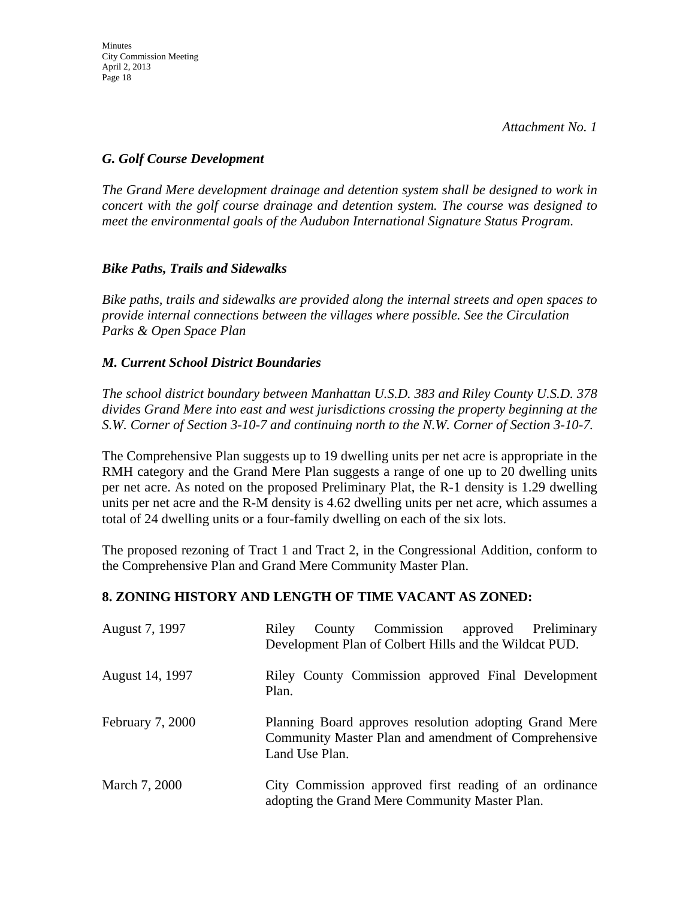# *G. Golf Course Development*

*The Grand Mere development drainage and detention system shall be designed to work in concert with the golf course drainage and detention system. The course was designed to meet the environmental goals of the Audubon International Signature Status Program.* 

# *Bike Paths, Trails and Sidewalks*

*Bike paths, trails and sidewalks are provided along the internal streets and open spaces to provide internal connections between the villages where possible. See the Circulation Parks & Open Space Plan* 

# *M. Current School District Boundaries*

*The school district boundary between Manhattan U.S.D. 383 and Riley County U.S.D. 378 divides Grand Mere into east and west jurisdictions crossing the property beginning at the S.W. Corner of Section 3-10-7 and continuing north to the N.W. Corner of Section 3-10-7.* 

The Comprehensive Plan suggests up to 19 dwelling units per net acre is appropriate in the RMH category and the Grand Mere Plan suggests a range of one up to 20 dwelling units per net acre. As noted on the proposed Preliminary Plat, the R-1 density is 1.29 dwelling units per net acre and the R-M density is 4.62 dwelling units per net acre, which assumes a total of 24 dwelling units or a four-family dwelling on each of the six lots.

The proposed rezoning of Tract 1 and Tract 2, in the Congressional Addition, conform to the Comprehensive Plan and Grand Mere Community Master Plan.

# **8. ZONING HISTORY AND LENGTH OF TIME VACANT AS ZONED:**

| August 7, 1997   | County Commission approved Preliminary<br>Riley<br>Development Plan of Colbert Hills and the Wildcat PUD.                        |
|------------------|----------------------------------------------------------------------------------------------------------------------------------|
| August 14, 1997  | Riley County Commission approved Final Development<br>Plan.                                                                      |
| February 7, 2000 | Planning Board approves resolution adopting Grand Mere<br>Community Master Plan and amendment of Comprehensive<br>Land Use Plan. |
| March 7, 2000    | City Commission approved first reading of an ordinance<br>adopting the Grand Mere Community Master Plan.                         |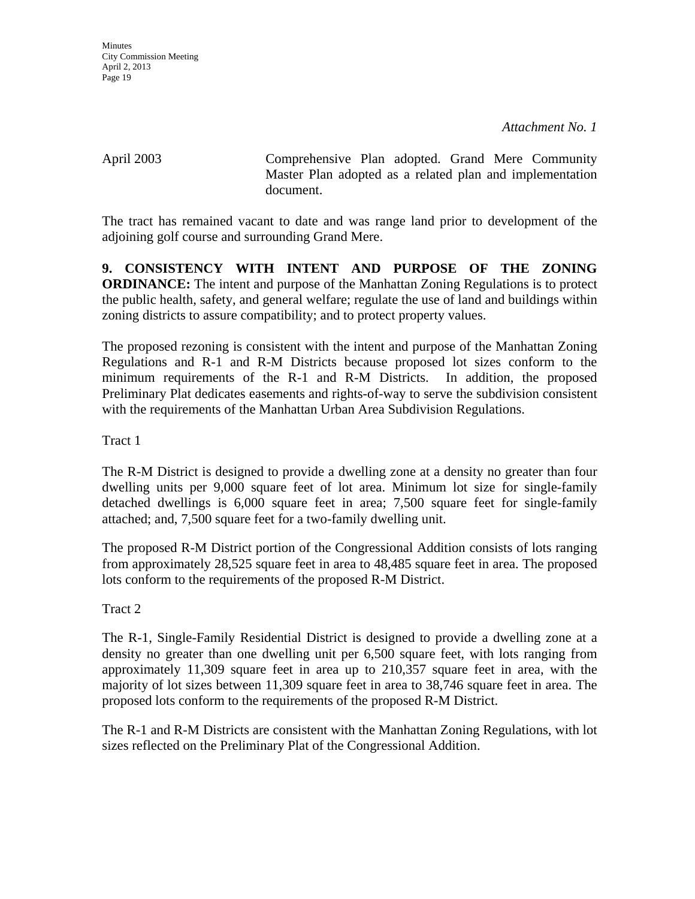April 2003 Comprehensive Plan adopted. Grand Mere Community Master Plan adopted as a related plan and implementation document.

The tract has remained vacant to date and was range land prior to development of the adjoining golf course and surrounding Grand Mere.

**9. CONSISTENCY WITH INTENT AND PURPOSE OF THE ZONING ORDINANCE:** The intent and purpose of the Manhattan Zoning Regulations is to protect the public health, safety, and general welfare; regulate the use of land and buildings within zoning districts to assure compatibility; and to protect property values.

The proposed rezoning is consistent with the intent and purpose of the Manhattan Zoning Regulations and R-1 and R-M Districts because proposed lot sizes conform to the minimum requirements of the R-1 and R-M Districts. In addition, the proposed Preliminary Plat dedicates easements and rights-of-way to serve the subdivision consistent with the requirements of the Manhattan Urban Area Subdivision Regulations.

Tract 1

The R-M District is designed to provide a dwelling zone at a density no greater than four dwelling units per 9,000 square feet of lot area. Minimum lot size for single-family detached dwellings is 6,000 square feet in area; 7,500 square feet for single-family attached; and, 7,500 square feet for a two-family dwelling unit.

The proposed R-M District portion of the Congressional Addition consists of lots ranging from approximately 28,525 square feet in area to 48,485 square feet in area. The proposed lots conform to the requirements of the proposed R-M District.

Tract 2

The R-1, Single-Family Residential District is designed to provide a dwelling zone at a density no greater than one dwelling unit per 6,500 square feet, with lots ranging from approximately 11,309 square feet in area up to 210,357 square feet in area, with the majority of lot sizes between 11,309 square feet in area to 38,746 square feet in area. The proposed lots conform to the requirements of the proposed R-M District.

The R-1 and R-M Districts are consistent with the Manhattan Zoning Regulations, with lot sizes reflected on the Preliminary Plat of the Congressional Addition.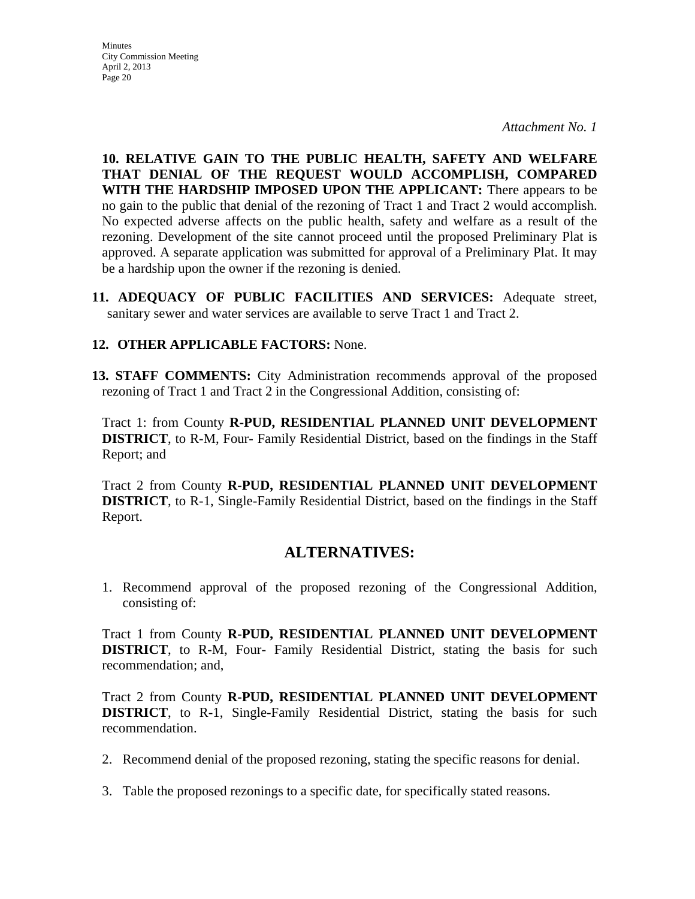**Minutes** City Commission Meeting April 2, 2013 Page 20

*Attachment No. 1*

**10. RELATIVE GAIN TO THE PUBLIC HEALTH, SAFETY AND WELFARE THAT DENIAL OF THE REQUEST WOULD ACCOMPLISH, COMPARED WITH THE HARDSHIP IMPOSED UPON THE APPLICANT:** There appears to be no gain to the public that denial of the rezoning of Tract 1 and Tract 2 would accomplish. No expected adverse affects on the public health, safety and welfare as a result of the rezoning. Development of the site cannot proceed until the proposed Preliminary Plat is approved. A separate application was submitted for approval of a Preliminary Plat. It may be a hardship upon the owner if the rezoning is denied.

**11. ADEQUACY OF PUBLIC FACILITIES AND SERVICES:** Adequate street, sanitary sewer and water services are available to serve Tract 1 and Tract 2.

### **12. OTHER APPLICABLE FACTORS:** None.

**13. STAFF COMMENTS:** City Administration recommends approval of the proposed rezoning of Tract 1 and Tract 2 in the Congressional Addition, consisting of:

Tract 1: from County **R-PUD, RESIDENTIAL PLANNED UNIT DEVELOPMENT DISTRICT**, to R-M, Four- Family Residential District, based on the findings in the Staff Report; and

Tract 2 from County **R-PUD, RESIDENTIAL PLANNED UNIT DEVELOPMENT DISTRICT**, to R-1, Single-Family Residential District, based on the findings in the Staff Report.

# **ALTERNATIVES:**

1. Recommend approval of the proposed rezoning of the Congressional Addition, consisting of:

Tract 1 from County **R-PUD, RESIDENTIAL PLANNED UNIT DEVELOPMENT DISTRICT**, to R-M, Four- Family Residential District, stating the basis for such recommendation; and,

Tract 2 from County **R-PUD, RESIDENTIAL PLANNED UNIT DEVELOPMENT DISTRICT**, to R-1, Single-Family Residential District, stating the basis for such recommendation.

- 2. Recommend denial of the proposed rezoning, stating the specific reasons for denial.
- 3. Table the proposed rezonings to a specific date, for specifically stated reasons.